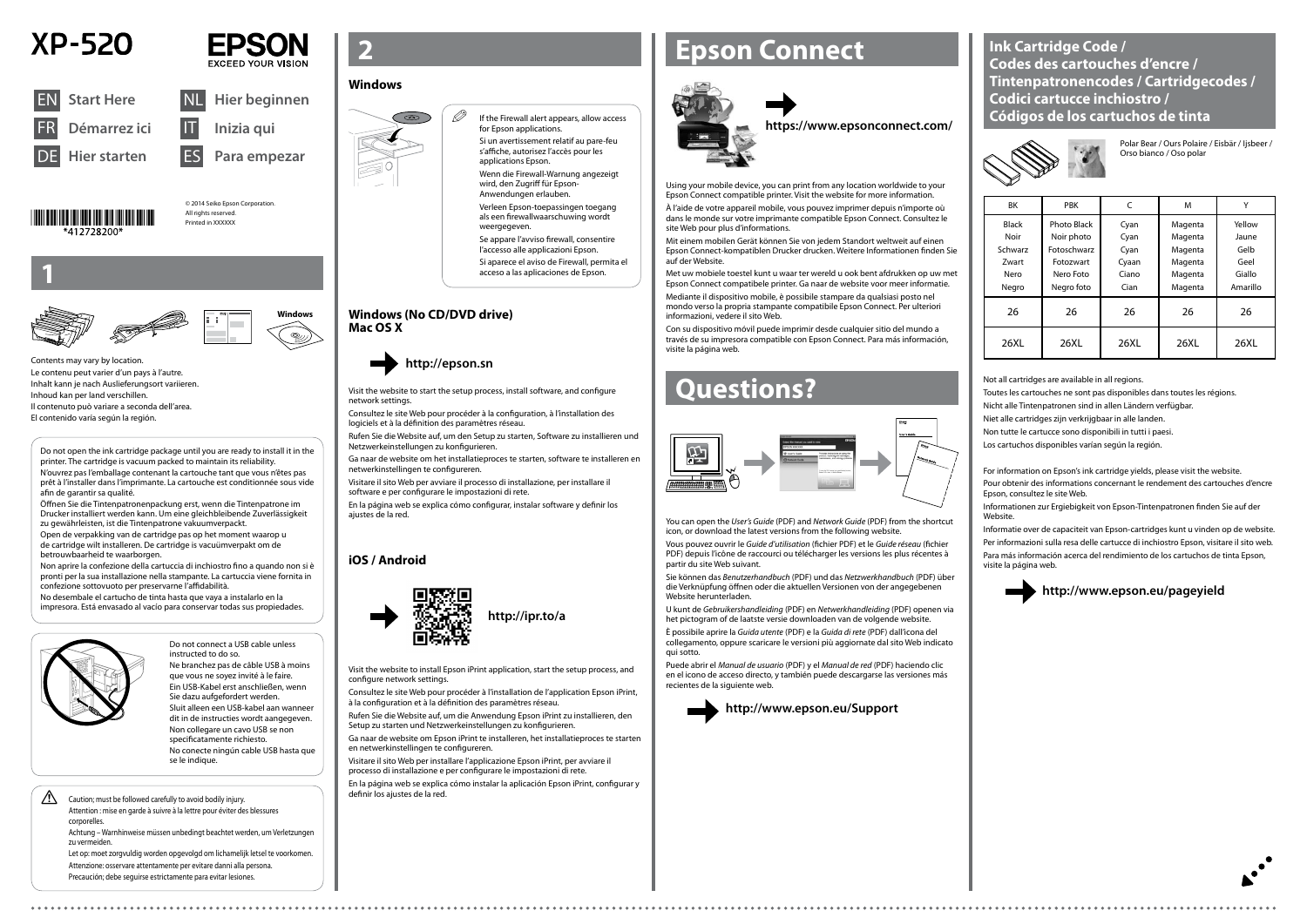© 2014 Seiko Epson Corporation. All rights reserved Printed in XXXXXX







**Windows**

## **http://ipr.to/a**



### Do not connect a USB cable unless instructed to do so.





Ne branchez pas de câble USB à moins que vous ne soyez invité à le faire. Ein USB-Kabel erst anschließen, wenn Sie dazu aufgefordert werden. Sluit alleen een USB-kabel aan wanneer dit in de instructies wordt aangegeven. Non collegare un cavo USB se non specificatamente richiesto. No conecte ningún cable USB hasta que se le indique.

### $\mathscr{D}$  If the Firewall alert appears, allow access for Epson applications.

**1**

Contents may vary by location. Le contenu peut varier d'un pays à l'autre. Inhalt kann je nach Auslieferungsort variieren. Inhoud kan per land verschillen. Il contenuto può variare a seconda dell'area. El contenido varía según la región.

Si un avertissement relatif au pare-feu

s'affiche, autorisez l'accès pour les applications Epson.

Wenn die Firewall-Warnung angezeigt Verleen Epson-toepassingen toegang

wird, den Zugriff für Epson-Anwendungen erlauben.

als een firewallwaarschuwing wordt

# weergegeven

Se appare l'avviso firewall, consentire l'accesso alle applicazioni Epson.

Si aparece el aviso de Firewall, permita el acceso a las aplicaciones de Epson.

Visit the website to start the setup process, install software, and configure network settings.

Consultez le site Web pour procéder à la configuration, à l'installation des logiciels et à la définition des paramètres réseau.

Rufen Sie die Website auf, um den Setup zu starten, Software zu installieren und Netzwerkeinstellungen zu konfigurieren.

Ga naar de website om het installatieproces te starten, software te installeren en netwerkinstellingen te configureren.

Visitare il sito Web per avviare il processo di installazione, per installare il software e per configurare le impostazioni di rete.

En la página web se explica cómo configurar, instalar software y definir los ajustes de la red.

### **http://epson.sn**

## **Epson Connect**



Using your mobile device, you can print from any location worldwide to your Epson Connect compatible printer. Visit the website for more information.

À l'aide de votre appareil mobile, vous pouvez imprimer depuis n'importe où dans le monde sur votre imprimante compatible Epson Connect. Consultez le site Web pour plus d'informations.

Mit einem mobilen Gerät können Sie von jedem Standort weltweit auf einen Epson Connect-kompatiblen Drucker drucken. Weitere Informationen finden Sie auf der Website.

> Informationen zur Ergiebigkeit von Epson-Tintenpatronen finden Sie auf der Website

Met uw mobiele toestel kunt u waar ter wereld u ook bent afdrukken op uw met Epson Connect compatibele printer. Ga naar de website voor meer informatie.

Mediante il dispositivo mobile, è possibile stampare da qualsiasi posto nel mondo verso la propria stampante compatibile Epson Connect. Per ulteriori informazioni, vedere il sito Web.

Con su dispositivo móvil puede imprimir desde cualquier sitio del mundo a través de su impresora compatible con Epson Connect. Para más información, visite la página web.

### **https://www.epsonconnect.com/**

## **Questions?**



You can open the *User's Guide* (PDF) and *Network Guide* (PDF) from the shortcut icon, or download the latest versions from the following website.

Vous pouvez ouvrir le *Guide d'utilisation* (fichier PDF) et le *Guide réseau* (fichier PDF) depuis l'icône de raccourci ou télécharger les versions les plus récentes à partir du site Web suivant.

Sie können das *Benutzerhandbuch* (PDF) und das *Netzwerkhandbuch* (PDF) über die Verknüpfung öffnen oder die aktuellen Versionen von der angegebenen Website herunterladen.

U kunt de *Gebruikershandleiding* (PDF) en *Netwerkhandleiding* (PDF) openen via het pictogram of de laatste versie downloaden van de volgende website.

 $\bigwedge$  Caution; must be followed carefully to avoid bodily injury. Attention : mise en garde à suivre à la lettre pour éviter des blessures corporelles.

È possibile aprire la *Guida utente* (PDF) e la *Guida di rete* (PDF) dall'icona del collegamento, oppure scaricare le versioni più aggiornate dal sito Web indicato qui sotto.

Puede abrir el *Manual de usuario* (PDF) y el *Manual de red* (PDF) haciendo clic en el icono de acceso directo, y también puede descargarse las versiones más recientes de la siguiente web.



**http://www.epson.eu/Support**





| <b>BK</b>                                                        | <b>PBK</b>                                                                       | C                                              | M                                                              |                                                       |
|------------------------------------------------------------------|----------------------------------------------------------------------------------|------------------------------------------------|----------------------------------------------------------------|-------------------------------------------------------|
| <b>Black</b><br>Noir<br>Schwarz<br><b>Zwart</b><br>Nero<br>Negro | Photo Black<br>Noir photo<br>Fotoschwarz<br>Fotozwart<br>Nero Foto<br>Negro foto | Cyan<br>Cyan<br>Cyan<br>Cyaan<br>Ciano<br>Cian | Magenta<br>Magenta<br>Magenta<br>Magenta<br>Magenta<br>Magenta | Yellow<br>Jaune<br>Gelb<br>Geel<br>Giallo<br>Amarillo |
| 26                                                               | 26                                                                               | 26                                             | 26                                                             | 26                                                    |
| 26XL                                                             | 26XI.                                                                            | 26XL                                           | 26XI                                                           | 26XL                                                  |

Polar Bear / Ours Polaire / Eisbär / Ijsbeer / Orso bianco / Oso polar

Not all cartridges are available in all regions.

Toutes les cartouches ne sont pas disponibles dans toutes les régions.

Nicht alle Tintenpatronen sind in allen Ländern verfügbar.

Niet alle cartridges zijn verkrijgbaar in alle landen.

Non tutte le cartucce sono disponibili in tutti i paesi.

Los cartuchos disponibles varían según la región.

For information on Epson's ink cartridge yields, please visit the website.

Pour obtenir des informations concernant le rendement des cartouches d'encre Epson, consultez le site Web.

Informatie over de capaciteit van Epson-cartridges kunt u vinden op de website. Per informazioni sulla resa delle cartucce di inchiostro Epson, visitare il sito web. Para más información acerca del rendimiento de los cartuchos de tinta Epson, visite la página web.

## **http://www.epson.eu/pageyield**



Do not open the ink cartridge package until you are ready to install it in the printer. The cartridge is vacuum packed to maintain its reliability. N'ouvrez pas l'emballage contenant la cartouche tant que vous n'êtes pas prêt à l'installer dans l'imprimante. La cartouche est conditionnée sous vide afin de garantir sa qualité.

Öffnen Sie die Tintenpatronenpackung erst, wenn die Tintenpatrone im Drucker installiert werden kann. Um eine gleichbleibende Zuverlässigkeit zu gewährleisten, ist die Tintenpatrone vakuumverpackt.

Open de verpakking van de cartridge pas op het moment waarop u de cartridge wilt installeren. De cartridge is vacuümverpakt om de betrouwbaarheid te waarborgen.

Non aprire la confezione della cartuccia di inchiostro fino a quando non si è pronti per la sua installazione nella stampante. La cartuccia viene fornita in confezione sottovuoto per preservarne l'affidabilità.

No desembale el cartucho de tinta hasta que vaya a instalarlo en la impresora. Está envasado al vacío para conservar todas sus propiedades.



### **Windows**



### **Windows (No CD/DVD drive) Mac OS X**



### **iOS / Android**



Visit the website to install Epson iPrint application, start the setup process, and configure network settings.

Consultez le site Web pour procéder à l'installation de l'application Epson iPrint, à la configuration et à la définition des paramètres réseau.

Rufen Sie die Website auf, um die Anwendung Epson iPrint zu installieren, den Setup zu starten und Netzwerkeinstellungen zu konfigurieren.

Ga naar de website om Epson iPrint te installeren, het installatieproces te starten en netwerkinstellingen te configureren.

Visitare il sito Web per installare l'applicazione Epson iPrint, per avviare il processo di installazione e per configurare le impostazioni di rete.

En la página web se explica cómo instalar la aplicación Epson iPrint, configurar y

Achtung – Warnhinweise müssen unbedingt beachtet werden, um Verletzungen zu vermeiden.

Let op: moet zorgvuldig worden opgevolgd om lichamelijk letsel te voorkomen. Attenzione: osservare attentamente per evitare danni alla persona. Precaución; debe seguirse estrictamente para evitar lesiones.

**Ink Cartridge Code / Codes des cartouches d'encre / Tintenpatronencodes / Cartridgecodes / Codici cartucce inchiostro / Códigos de los cartuchos de tinta**

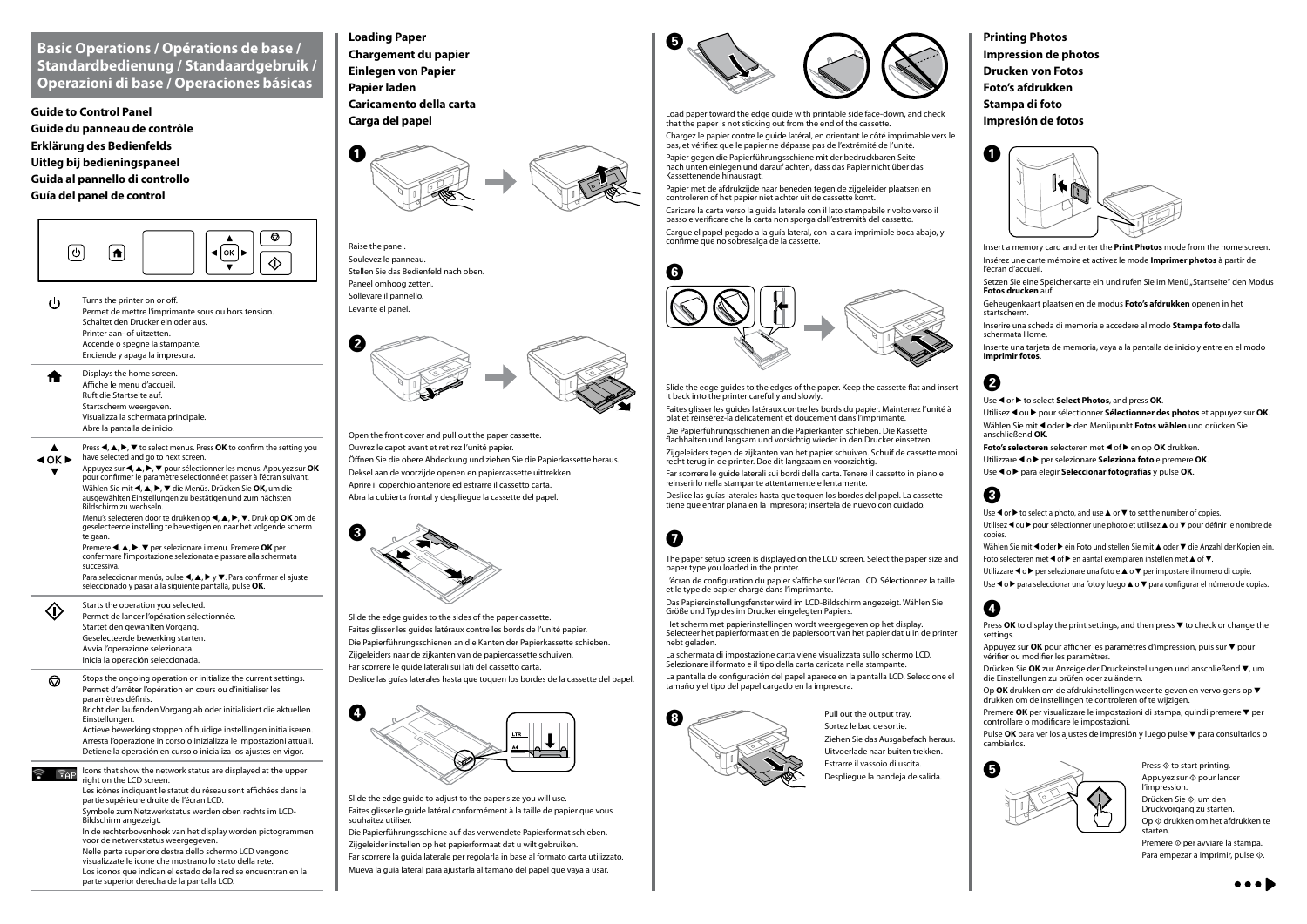### **Basic Operations / Opérations de base / Standardbedienung / Standaardgebruik / Operazioni di base / Operaciones básicas**

**Guide to Control Panel Guide du panneau de contrôle Erklärung des Bedienfelds Uitleg bij bedieningspaneel Guida al pannello di controllo Guía del panel de control**



Turns the printer on or off.  $\mathbf{d}$ Permet de mettre l'imprimante sous ou hors tension. Schaltet den Drucker ein oder aus. Printer aan- of uitzetten. Accende o spegne la stampante. Enciende y apaga la impresora.

Appuyez sur  $\blacktriangle, \blacktriangle, \blacktriangleright, \blacktriangledown$  pour sélectionner les menus. Appuyez sur **OK** pour confirmer le paramètre sélectionné et passer à l'écran suivant. Wählen Sie mit **(**, ▲, ▶, ▼ die Menüs. Drücken Sie **OK**, um die ausgewählten Einstellungen zu bestätigen und zum nächsten Bildschirm zu wechseln.

Displays the home screen. Affiche le menu d'accueil. Ruft die Startseite auf. Startscherm weergeven. Visualizza la schermata principale. Abre la pantalla de inicio.

Press  $\blacktriangle, \blacktriangle, \blacktriangleright, \blacktriangledown$  to select menus. Press **OK** to confirm the setting you  $\blacktriangle$  $40K$  $\blacktriangleright$ have selected and go to next screen

> Menu's selecteren door te drukken op **4**, **A**, ▶, ▼, Druk op **OK** om de geselecteerde instelling te bevestigen en naar het volgende scherm te gaan.

Premere **<, △, ▶, ▼** per selezionare i menu. Premere **OK** per confermare l'impostazione selezionata e passare alla schermata successiva.

Para seleccionar menús, pulse  $\blacktriangle, \blacktriangle, \blacktriangleright$  y  $\blacktriangledown$ . Para confirmar el ajuste seleccionado y pasar a la siguiente pantalla, pulse **OK**.

Starts the operation you selected.  $\langle \hat{v} \rangle$ Permet de lancer l'opération sélectionnée. Startet den gewählten Vorgang. Geselecteerde bewerking starten. Avvia l'operazione selezionata. Inicia la operación seleccionada.

Stops the ongoing operation or initialize the current settings.  $\bigcirc$ Permet d'arrêter l'opération en cours ou d'initialiser les paramètres définis.

Bricht den laufenden Vorgang ab oder initialisiert die aktuellen Einstellungen.

Actieve bewerking stoppen of huidige instellingen initialiseren. Arresta l'operazione in corso o inizializza le impostazioni attuali. Detiene la operación en curso o inicializa los ajustes en vigor.

 $\mathbb{F}_{\mathsf{A}\mathsf{P}}$  Icons that show the network status are displayed at the upper right on the LCD screen.

> Les icônes indiquant le statut du réseau sont affichées dans la partie supérieure droite de l'écran LCD.

Symbole zum Netzwerkstatus werden oben rechts im LCD-Bildschirm angezeigt.

In de rechterbovenhoek van het display worden pictogrammen voor de netwerkstatus weergegeven. Nelle parte superiore destra dello schermo LCD vengono visualizzate le icone che mostrano lo stato della rete. Los iconos que indican el estado de la red se encuentran en la parte superior derecha de la pantalla LCD.

**Loading Paper Chargement du papier Einlegen von Papier Papier laden Caricamento della carta Carga del papel**



Open the front cover and pull out the paper cassette.

- Ouvrez le capot avant et retirez l'unité papier.
- Öffnen Sie die obere Abdeckung und ziehen Sie die Papierkassette heraus. Deksel aan de voorzijde openen en papiercassette uittrekken. Aprire il coperchio anteriore ed estrarre il cassetto carta. Abra la cubierta frontal y despliegue la cassette del papel.



Slide the edge guides to the sides of the paper cassette. Faites glisser les guides latéraux contre les bords de l'unité papier. Die Papierführungsschienen an die Kanten der Papierkassette schieben. Zijgeleiders naar de zijkanten van de papiercassette schuiven. Far scorrere le guide laterali sui lati del cassetto carta. Deslice las guías laterales hasta que toquen los bordes de la cassette del papel.



Slide the edge guide to adjust to the paper size you will use. Faites glisser le guide latéral conformément à la taille de papier que vous souhaitez utiliser.

Die Papierführungsschiene auf das verwendete Papierformat schieben. Zijgeleider instellen op het papierformaat dat u wilt gebruiken. Far scorrere la guida laterale per regolarla in base al formato carta utilizzato. Mueva la guía lateral para ajustarla al tamaño del papel que vaya a usar.

- Press  $OK$  to display the print settings, and then press  $\nabla$  to check or change the settings.
- Appuyez sur **OK** pour afficher les paramètres d'impression, puis sur  $\blacktriangledown$  pour vérifier ou modifier les paramètres.
- Drücken Sie OK zur Anzeige der Druckeinstellungen und anschließend ▼, um die Einstellungen zu prüfen oder zu ändern.
- Op **OK** drukken om de afdrukinstellingen weer te geven en vervolgens op ▼ drukken om de instellingen te controleren of te wijzigen.
- Premere OK per visualizzare le impostazioni di stampa, quindi premere ▼ per controllare o modificare le impostazioni.
- Pulse OK para ver los ajustes de impresión y luego pulse ▼ para consultarlos o cambiarlos.



Load paper toward the edge guide with printable side face-down, and check that the paper is not sticking out from the end of the cassette.

> Appuyez sur  $\otimes$  pour lancer l'impression.

Drücken Sie  $\otimes$ , um den Druckvorgang zu starten.

Op  $\diamondsuit$  drukken om het afdrukken te starten.

Premere  $\otimes$  per avviare la stampa. Para empezar a imprimir, pulse  $\Diamond$ .



Chargez le papier contre le guide latéral, en orientant le côté imprimable vers le bas, et vérifiez que le papier ne dépasse pas de l'extrémité de l'unité.

Papier gegen die Papierführungsschiene mit der bedruckbaren Seite nach unten einlegen und darauf achten, dass das Papier nicht über das Kassettenende hinausragt.

La schermata di impostazione carta viene visualizzata sullo schermo LCD. Selezionare il formato e il tipo della carta caricata nella stampante

Papier met de afdrukzijde naar beneden tegen de zijgeleider plaatsen en controleren of het papier niet achter uit de cassette komt.

Caricare la carta verso la guida laterale con il lato stampabile rivolto verso il basso e verificare che la carta non sporga dall'estremità del cassetto. Cargue el papel pegado a la guía lateral, con la cara imprimible boca abajo, y

confirme que no sobresalga de la cassette.



Slide the edge guides to the edges of the paper. Keep the cassette flat and insert it back into the printer carefully and slowly.

Faites glisser les guides latéraux contre les bords du papier. Maintenez l'unité à plat et réinsérez-la délicatement et doucement dans l'imprimante.

Die Papierführungsschienen an die Papierkanten schieben. Die Kassette flachhalten und langsam und vorsichtig wieder in den Drucker einsetzen. Zijgeleiders tegen de zijkanten van het papier schuiven. Schuif de cassette mooi

recht terug in de printer. Doe dit langzaam en voorzichtig.

Far scorrere le guide laterali sui bordi della carta. Tenere il cassetto in piano e reinserirlo nella stampante attentamente e lentamente.

Deslice las guías laterales hasta que toquen los bordes del papel. La cassette tiene que entrar plana en la impresora; insértela de nuevo con cuidado.

## $\boldsymbol{\Omega}$

**Printing Photos Impression de photos Drucken von Fotos Foto's afdrukken Stampa di foto Impresión de fotos**



A

- Insert a memory card and enter the **Print Photos** mode from the home screen. Insérez une carte mémoire et activez le mode **Imprimer photos** à partir de l'écran d'accueil.
- Setzen Sie eine Speicherkarte ein und rufen Sie im Menü "Startseite" den Modus **Fotos drucken** auf.
- Geheugenkaart plaatsen en de modus **Foto's afdrukken** openen in het startscherm.
- Inserire una scheda di memoria e accedere al modo **Stampa foto** dalla schermata Home.
- Inserte una tarjeta de memoria, vaya a la pantalla de inicio y entre en el modo **Imprimir fotos**.

## $\boldsymbol{Q}$

- Use  $\triangleleft$  or  $\triangleright$  to select **Select Photos**, and press **OK**.
- Utilisez ◀ ou ▶ pour sélectionner **Sélectionner des photos** et appuyez sur **OK**. Wählen Sie mit < oder > den Menüpunkt **Fotos wählen** und drücken Sie anschließend **OK**.
- **Foto's selecteren** selecteren met < of  $\blacktriangleright$  en op **OK** drukken.
- Utilizzare < o > per selezionare **Seleziona foto** e premere OK.
- Use < o > para elegir **Seleccionar fotografías** y pulse OK.

### C

- Use  $\blacktriangle$  or  $\blacktriangleright$  to select a photo, and use  $\blacktriangle$  or  $\ntriangleright$  to set the number of copies.
- Utilisez < ou ▶ pour sélectionner une photo et utilisez ▲ ou ▼ pour définir le nombre de copies.
- Wählen Sie mit < oder > ein Foto und stellen Sie mit ▲ oder ▼ die Anzahl der Kopien ein. Foto selecteren met  $\triangleleft$  of  $\triangleright$  en aantal exemplaren instellen met  $\triangle$  of  $\nabla$ .
- Utilizzare  $\triangleleft$  o  $\blacktriangleright$  per selezionare una foto e  $\triangleq$  o  $\ntriangleright$  per impostare il numero di copie.
- Use  $\triangleleft$  o  $\triangleright$  para seleccionar una foto y luego  $\triangle$  o  $\nabla$  para configurar el número de copias.

## Ø

Pull out the output tray. Sortez le bac de sortie. Ziehen Sie das Ausgabefach heraus. Uitvoerlade naar buiten trekken. Estrarre il vassoio di uscita.





Raise the panel. Soulevez le panneau. Stellen Sie das Bedienfeld nach oben. Paneel omhoog zetten. Sollevare il pannello. Levante el panel.

> The paper setup screen is displayed on the LCD screen. Select the paper size and paper type you loaded in the printer.

L'écran de configuration du papier s'affiche sur l'écran LCD. Sélectionnez la taille et le type de papier chargé dans l'imprimante.

Das Papiereinstellungsfenster wird im LCD-Bildschirm angezeigt. Wählen Sie Größe und Typ des im Drucker eingelegten Papiers.

Het scherm met papierinstellingen wordt weergegeven op het display. Selecteer het papierformaat en de papiersoort van het papier dat u in de printer hebt geladen.

La pantalla de configuración del papel aparece en la pantalla LCD. Seleccione el tamaño y el tipo del papel cargado en la impresora.

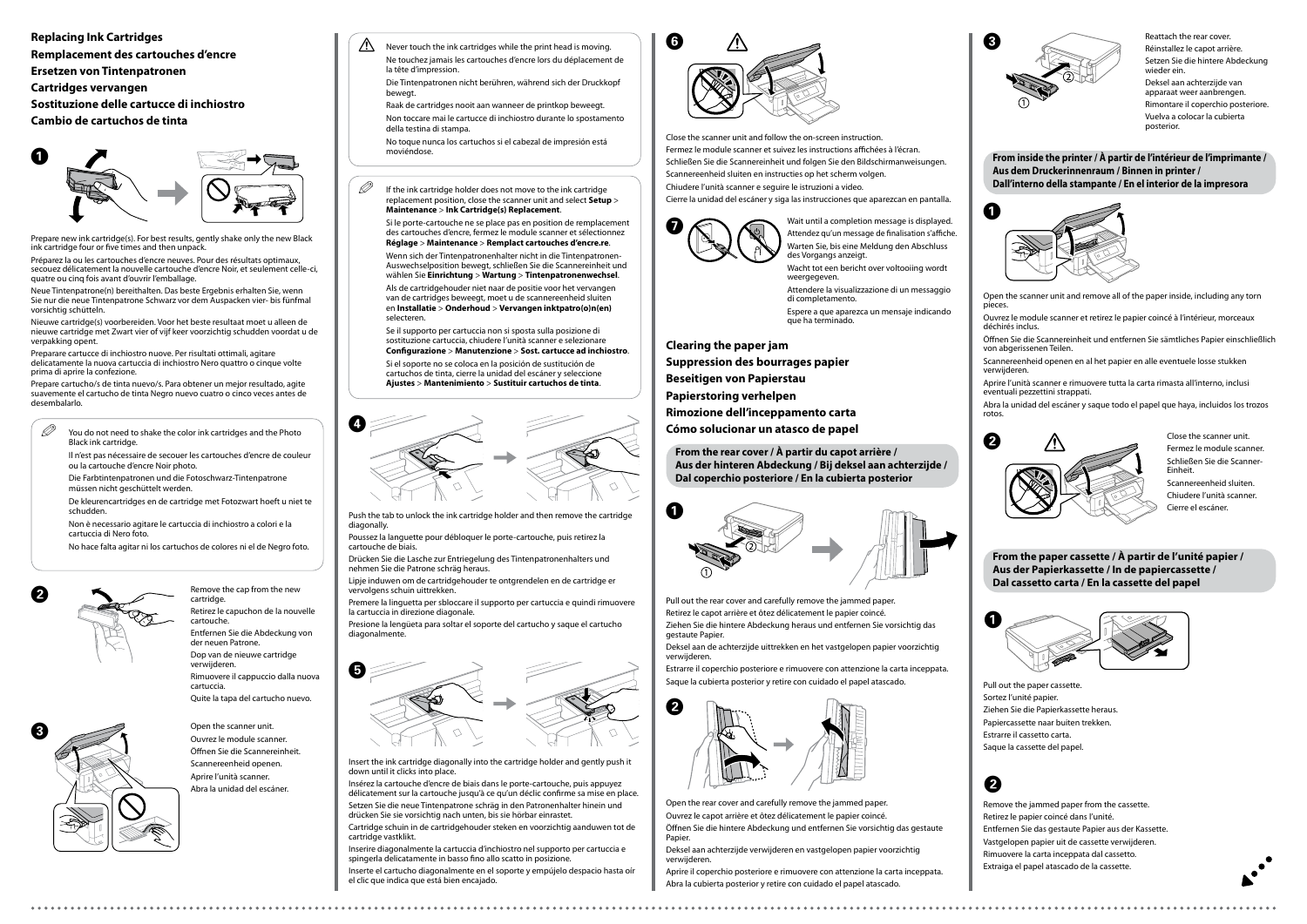**Clearing the paper jam**

**Suppression des bourrages papier**

**Beseitigen von Papierstau**

**Papierstoring verhelpen**

**Rimozione dell'inceppamento carta**

**Cómo solucionar un atasco de papel**

Pull out the rear cover and carefully remove the jammed paper.

Retirez le capot arrière et ôtez délicatement le papier coincé. Ziehen Sie die hintere Abdeckung heraus und entfernen Sie vorsichtig das

Öffnen Sie die hintere Abdeckung und entfernen Sie vorsichtig das gestaute Papier

gestaute Papier. Deksel aan de achterzijde uittrekken en het vastgelopen papier voorzichtig

verwijderen.

Estrarre il coperchio posteriore e rimuovere con attenzione la carta inceppata. Saque la cubierta posterior y retire con cuidado el papel atascado.

Open the rear cover and carefully remove the jammed paper. Ouvrez le capot arrière et ôtez délicatement le papier coincé.

Deksel aan achterzijde verwijderen en vastgelopen papier voorzichtig verwijderen.

Aprire il coperchio posteriore e rimuovere con attenzione la carta inceppata. Abra la cubierta posterior y retire con cuidado el papel atascado.

Reattach the rear cover. Réinstallez le capot arrière. Setzen Sie die hintere Abdeckung wieder ein. Deksel aan achterzijde van apparaat weer aanbrengen. Rimontare il coperchio posteriore. Vuelva a colocar la cubierta posterior.







**From the rear cover / À partir du capot arrière / Aus der hinteren Abdeckung / Bij deksel aan achterzijde / Dal coperchio posteriore / En la cubierta posterior**

**Replacing Ink Cartridges Remplacement des cartouches d'encre Ersetzen von Tintenpatronen Cartridges vervangen Sostituzione delle cartucce di inchiostro**

**Cambio de cartuchos de tinta**

Prepare new ink cartridge(s). For best results, gently shake only the new Black ink cartridge four or five times and then unpack.

Préparez la ou les cartouches d'encre neuves. Pour des résultats optimaux, secouez délicatement la nouvelle cartouche d'encre Noir, et seulement celle-ci, quatre ou cinq fois avant d'ouvrir l'emballage.

- $\mathscr{D}$  You do not need to shake the color ink cartridges and the Photo Black ink cartridge.
	- Il n'est pas nécessaire de secouer les cartouches d'encre de couleur ou la cartouche d'encre Noir photo.

Neue Tintenpatrone(n) bereithalten. Das beste Ergebnis erhalten Sie, wenn Sie nur die neue Tintenpatrone Schwarz vor dem Auspacken vier- bis fünfmal vorsichtig schütteln.

Nieuwe cartridge(s) voorbereiden. Voor het beste resultaat moet u alleen de nieuwe cartridge met Zwart vier of vijf keer voorzichtig schudden voordat u de verpakking opent.

#### $\mathscr{Q}$  If the ink cartridge holder does not move to the ink cartridge replacement position, close the scanner unit and select **Setup** > **Maintenance** > **Ink Cartridge(s) Replacement**.

Preparare cartucce di inchiostro nuove. Per risultati ottimali, agitare delicatamente la nuova cartuccia di inchiostro Nero quattro o cinque volte prima di aprire la confezione.

Prepare cartucho/s de tinta nuevo/s. Para obtener un mejor resultado, agite suavemente el cartucho de tinta Negro nuevo cuatro o cinco veces antes de desembalarlo.

> Open the scanner unit. Ouvrez le module scanner. Öffnen Sie die Scannereinheit. Scannereenheid openen. Aprire l'unità scanner. Abra la unidad del escáner.

Remove the cap from the new cartridge. Retirez le capuchon de la nouvelle cartouche. Entfernen Sie die Abdeckung von der neuen Patrone. Dop van de nieuwe cartridge verwijderen. Rimuovere il cappuccio dalla nuova cartuccia.

Quite la tapa del cartucho nuevo.

Insert the ink cartridge diagonally into the cartridge holder and gently push it down until it clicks into place.

Insérez la cartouche d'encre de biais dans le porte-cartouche, puis appuyez délicatement sur la cartouche jusqu'à ce qu'un déclic confirme sa mise en place. Setzen Sie die neue Tintenpatrone schräg in den Patronenhalter hinein und drücken Sie sie vorsichtig nach unten, bis sie hörbar einrastet.

Cartridge schuin in de cartridgehouder steken en voorzichtig aanduwen tot de cartridge vastklikt.

Inserire diagonalmente la cartuccia d'inchiostro nel supporto per cartuccia e spingerla delicatamente in basso fino allo scatto in posizione.

Never touch the ink cartridges while the print head is moving. Ne touchez jamais les cartouches d'encre lors du déplacement de la tête d'impression.

Inserte el cartucho diagonalmente en el soporte y empújelo despacio hasta oír el clic que indica que está bien encajado.

Die Farbtintenpatronen und die Fotoschwarz-Tintenpatrone müssen nicht geschüttelt werden.

De kleurencartridges en de cartridge met Fotozwart hoeft u niet te

schudden.

Non è necessario agitare le cartuccia di inchiostro a colori e la cartuccia di Nero foto.

Wait until a completion message is displayed. Attendez qu'un message de finalisation s'affiche. Warten Sie, bis eine Meldung den Abschluss des Vorgangs anzeigt.

No hace falta agitar ni los cartuchos de colores ni el de Negro foto.

Si le porte-cartouche ne se place pas en position de remplacement des cartouches d'encre, fermez le module scanner et sélectionnez **Réglage** > **Maintenance** > **Remplact cartouches d'encre.re**.

Wenn sich der Tintenpatronenhalter nicht in die Tintenpatronen-Auswechselposition bewegt, schließen Sie die Scannereinheit und wählen Sie **Einrichtung** > **Wartung** > **Tintenpatronenwechsel**.

Als de cartridgehouder niet naar de positie voor het vervangen van de cartridges beweegt, moet u de scannereenheid sluiten en **Installatie** > **Onderhoud** > **Vervangen inktpatro(o)n(en)** selecteren.

Se il supporto per cartuccia non si sposta sulla posizione di sostituzione cartuccia, chiudere l'unità scanner e selezionare **Configurazione** > **Manutenzione** > **Sost. cartucce ad inchiostro**.

Si el soporte no se coloca en la posición de sustitución de cartuchos de tinta, cierre la unidad del escáner y seleccione **Ajustes** > **Mantenimiento** > **Sustituir cartuchos de tinta**.

Push the tab to unlock the ink cartridge holder and then remove the cartridge diagonally.

Poussez la languette pour débloquer le porte-cartouche, puis retirez la cartouche de biais.

Drücken Sie die Lasche zur Entriegelung des Tintenpatronenhalters und nehmen Sie die Patrone schräg heraus.

Lipje induwen om de cartridgehouder te ontgrendelen en de cartridge er vervolgens schuin uittrekken.

Premere la linguetta per sbloccare il supporto per cartuccia e quindi rimuovere la cartuccia in direzione diagonale.

Presione la lengüeta para soltar el soporte del cartucho y saque el cartucho diagonalmente.













Close the scanner unit and follow the on-screen instruction. Fermez le module scanner et suivez les instructions affichées à l'écran. Schließen Sie die Scannereinheit und folgen Sie den Bildschirmanweisungen. Scannereenheid sluiten en instructies op het scherm volgen. Chiudere l'unità scanner e seguire le istruzioni a video.

Cierre la unidad del escáner y siga las instrucciones que aparezcan en pantalla.





**From inside the printer / À partir de l'intérieur de l'imprimante / Aus dem Druckerinnenraum / Binnen in printer / Dall'interno della stampante / En el interior de la impresora**

- Open the scanner unit and remove all of the paper inside, including any torn pieces.
- Ouvrez le module scanner et retirez le papier coincé à l'intérieur, morceaux déchirés inclus.
- Öffnen Sie die Scannereinheit und entfernen Sie sämtliches Papier einschließlich von abgerissenen Teilen.
- Scannereenheid openen en al het papier en alle eventuele losse stukken verwijderen.
- Aprire l'unità scanner e rimuovere tutta la carta rimasta all'interno, inclusi eventuali pezzettini strappati.
- Abra la unidad del escáner y saque todo el papel que haya, incluidos los trozos rotos.



Fermez le module scanner. Schließen Sie die Scanner-Einheit.

Scannereenheid sluiten. Chiudere l'unità scanner. Cierre el escáner.

Die Tintenpatronen nicht berühren, während sich der Druckkopf bewegt.

Raak de cartridges nooit aan wanneer de printkop beweegt. Non toccare mai le cartucce di inchiostro durante lo spostamento

della testina di stampa. No toque nunca los cartuchos si el cabezal de impresión está

moviéndose.



### B

- Pull out the paper cassette.
- Sortez l'unité papier.
- Ziehen Sie die Papierkassette heraus.
- Papiercassette naar buiten trekken.
- Estrarre il cassetto carta.
- Saque la cassette del papel.

**From the paper cassette / À partir de l'unité papier / Aus der Papierkassette / In de papiercassette / Dal cassetto carta / En la cassette del papel**

- Remove the jammed paper from the cassette.
- Retirez le papier coincé dans l'unité.
- Entfernen Sie das gestaute Papier aus der Kassette.
- Vastgelopen papier uit de cassette verwijderen.
- Rimuovere la carta inceppata dal cassetto.
- Extraiga el papel atascado de la cassette.

Wacht tot een bericht over voltooiing wordt weergegeven. Attendere la visualizzazione di un messaggio di completamento. Espere a que aparezca un mensaje indicando que ha terminado.